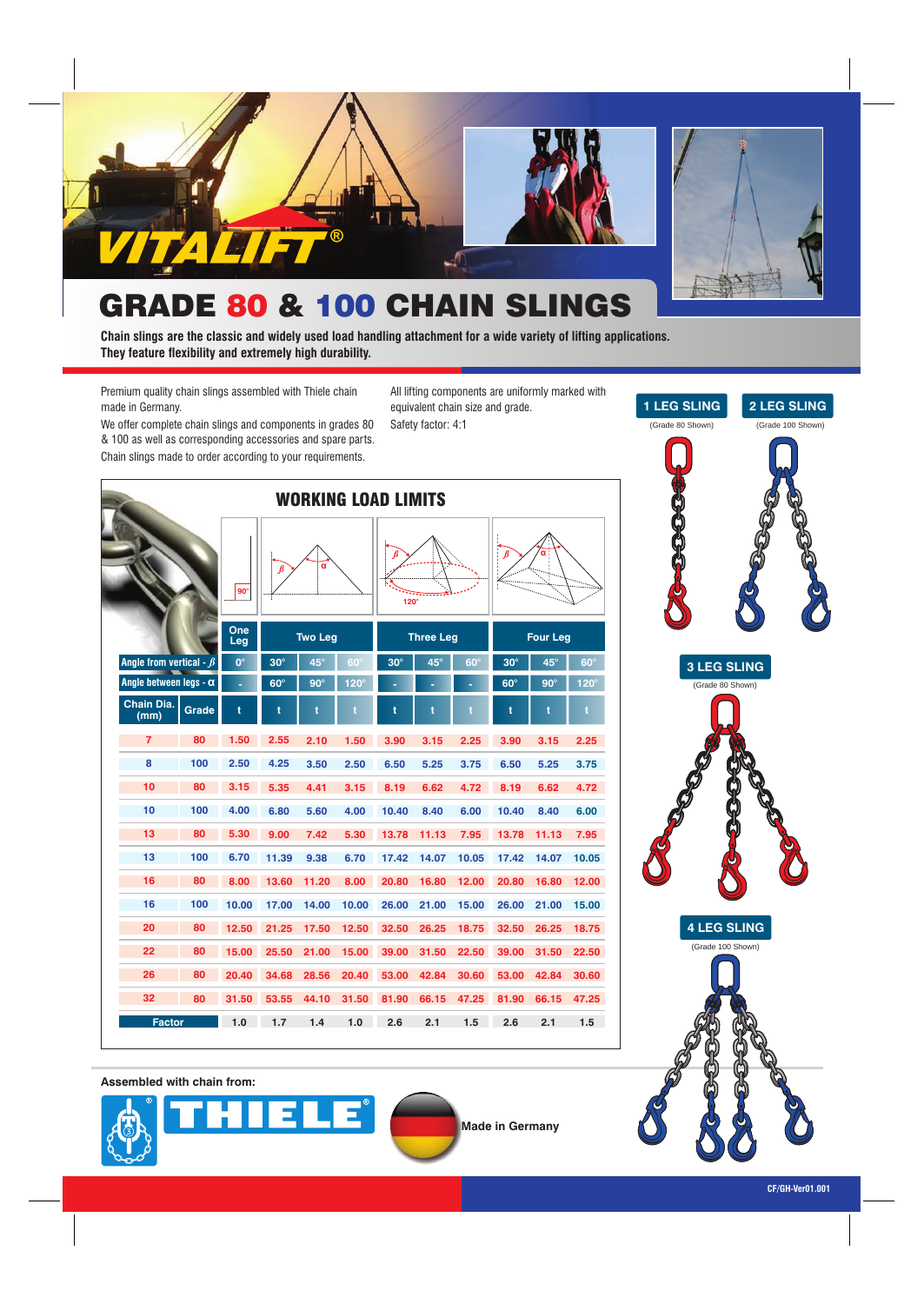

### GRADE 80 & 100 CHAIN SLINGS

**Chain slings are the classic and widely used load handling attachment for a wide variety of lifting applications. They feature flexibility and extremely high durability.**

Premium quality chain slings assembled with Thiele chain made in Germany.

We offer complete chain slings and components in grades 80 & 100 as well as corresponding accessories and spare parts. Chain slings made to order according to your requirements.

All lifting components are uniformly marked with equivalent chain size and grade. Safety factor: 4:1

| <b>WORKING LOAD LIMITS</b>    |       |             |            |                |             |                  |                  |            |            |                 |             |
|-------------------------------|-------|-------------|------------|----------------|-------------|------------------|------------------|------------|------------|-----------------|-------------|
|                               |       | $90^\circ$  | $\beta$    | α              |             | B<br>$120^\circ$ |                  |            | $\beta$    |                 |             |
|                               |       | One<br>Leg  |            | <b>Two Leg</b> |             |                  | <b>Three Leg</b> |            |            | <b>Four Leg</b> |             |
| Angle from vertical - $\beta$ |       | $0^{\circ}$ | $30^\circ$ | 45°            | $60^\circ$  | $30^\circ$       | 45°              | $60^\circ$ | $30^\circ$ | $45^\circ$      | $60^\circ$  |
| Angle between legs - $\alpha$ |       | ٠           | $60^\circ$ | $90^\circ$     | $120^\circ$ |                  |                  |            | $60^\circ$ | $90^\circ$      | $120^\circ$ |
| Chain Dia.<br>(mm)            | Grade | t           | t          | t              | t           | ŧ                | t                | t          | t          | t               | ť           |
| $\overline{7}$                | 80    | 1.50        | 2.55       | 2.10           | 1.50        | 3.90             | 3.15             | 2.25       | 3.90       | 3.15            | 2.25        |
| 8                             | 100   | 2.50        | 4.25       | 3.50           | 2.50        | 6.50             | 5.25             | 3.75       | 6.50       | 5.25            | 3.75        |
| 10                            | 80    | 3.15        | 5.35       | 4.41           | 3.15        | 8.19             | 6.62             | 4.72       | 8.19       | 6.62            | 4.72        |
| 10                            | 100   | 4.00        | 6.80       | 5.60           | 4.00        | 10.40            | 8.40             | 6.00       | 10.40      | 8.40            | 6.00        |
| 13                            | 80    | 5.30        | 9.00       | 7.42           | 5.30        | 13.78            | 11.13            | 7.95       | 13.78      | 11.13           | 7.95        |
| 13                            | 100   | 6.70        | 11.39      | 9.38           | 6.70        | 17.42            | 14.07            | 10.05      | 17.42      | 14.07           | 10.05       |
| 16                            | 80    | 8.00        | 13.60      | 11.20          | 8.00        | 20.80            | 16.80            | 12.00      | 20.80      | 16.80           | 12.00       |
| 16                            | 100   | 10.00       | 17.00      | 14.00          | 10.00       | 26.00            | 21.00            | 15.00      | 26.00      | 21.00           | 15.00       |
| 20                            | 80    | 12.50       | 21.25      | 17.50          | 12.50       | 32.50            | 26.25            | 18.75      | 32.50      | 26.25           | 18.75       |
| 22                            | 80    | 15.00       | 25.50      | 21.00          | 15.00       | 39.00            | 31.50            | 22.50      | 39.00      | 31.50           | 22.50       |
| 26                            | 80    | 20.40       | 34.68      | 28.56          | 20.40       | 53.00            | 42.84            | 30.60      | 53.00      | 42.84           | 30.60       |
| 32                            | 80    | 31.50       | 53.55      | 44.10          | 31.50       | 81.90            | 66.15            | 47.25      | 81.90      | 66.15           | 47.25       |
| <b>Factor</b>                 |       | 1.0         | 1.7        | 1.4            | 1.0         | 2.6              | 2.1              | 1.5        | 2.6        | 2.1             | 1.5         |

**3 LEG SLING 4 LEG SLING** (Grade 80 Shown) (Grade 100 Shown)

**2 LEG SLING**

**1 LEG SLING** (Grade 80 Shown)

(Grade 100 Shown)

**Assembled with chain from:**





**Made in Germany**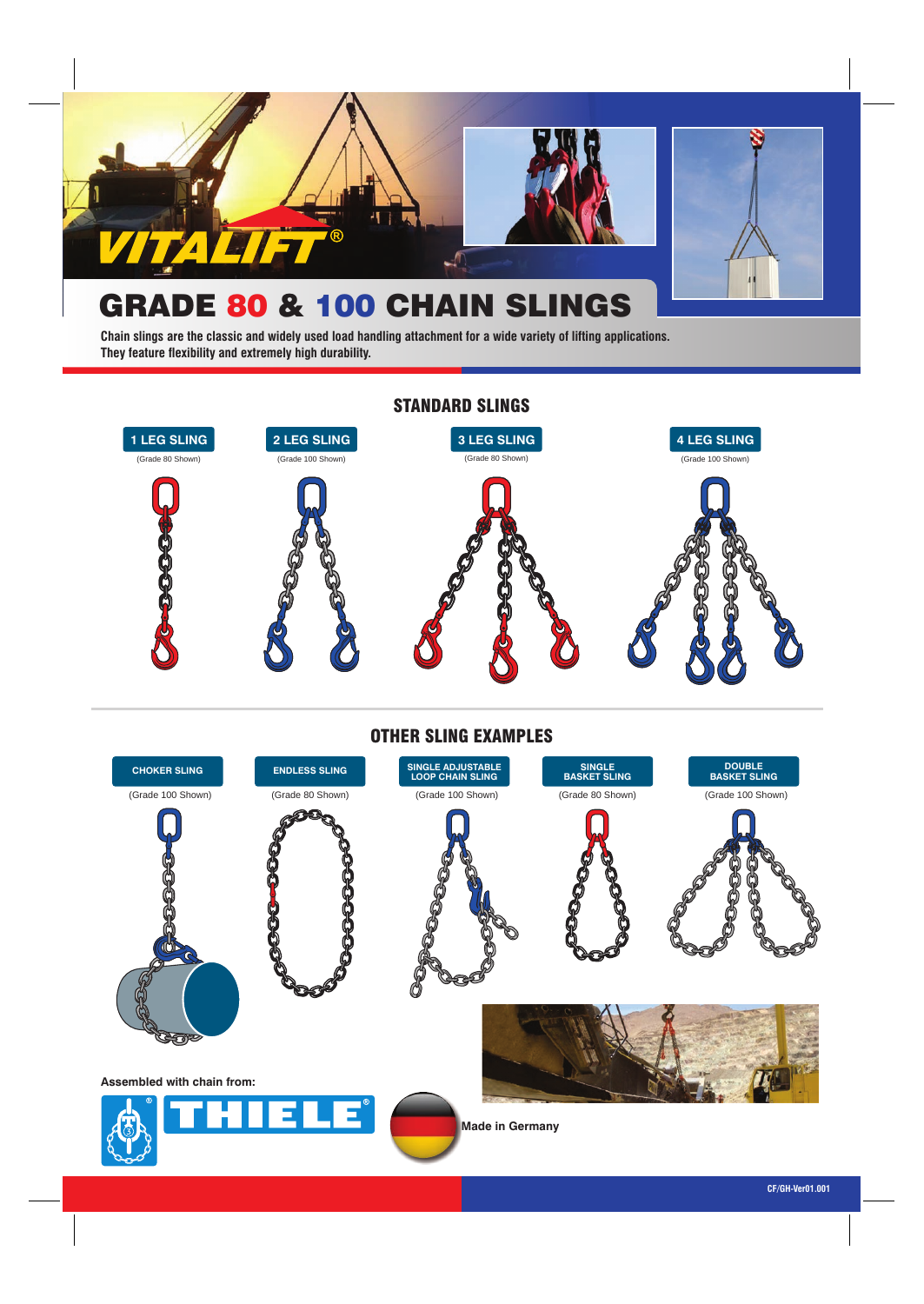

# GRADE 80 & 100 CHAIN SLINGS

**Chain slings are the classic and widely used load handling attachment for a wide variety of lifting applications. They feature flexibility and extremely high durability.**



#### OTHER SLING EXAMPLES

| <b>CHOKER SLING</b>        | <b>ENDLESS SLING</b> | SINGLE ADJUSTABLE<br>LOOP CHAIN SLING | <b>SINGLE</b><br><b>BASKET SLING</b> | DOUBLE<br>BASKET SLING |
|----------------------------|----------------------|---------------------------------------|--------------------------------------|------------------------|
| (Grade 100 Shown)          | (Grade 80 Shown)     | (Grade 100 Shown)                     | (Grade 80 Shown)                     | (Grade 100 Shown)      |
|                            |                      |                                       |                                      |                        |
| Assembled with chain from: |                      |                                       |                                      |                        |
|                            | THE LE <sup>®</sup>  | <b>Made in Germany</b>                |                                      |                        |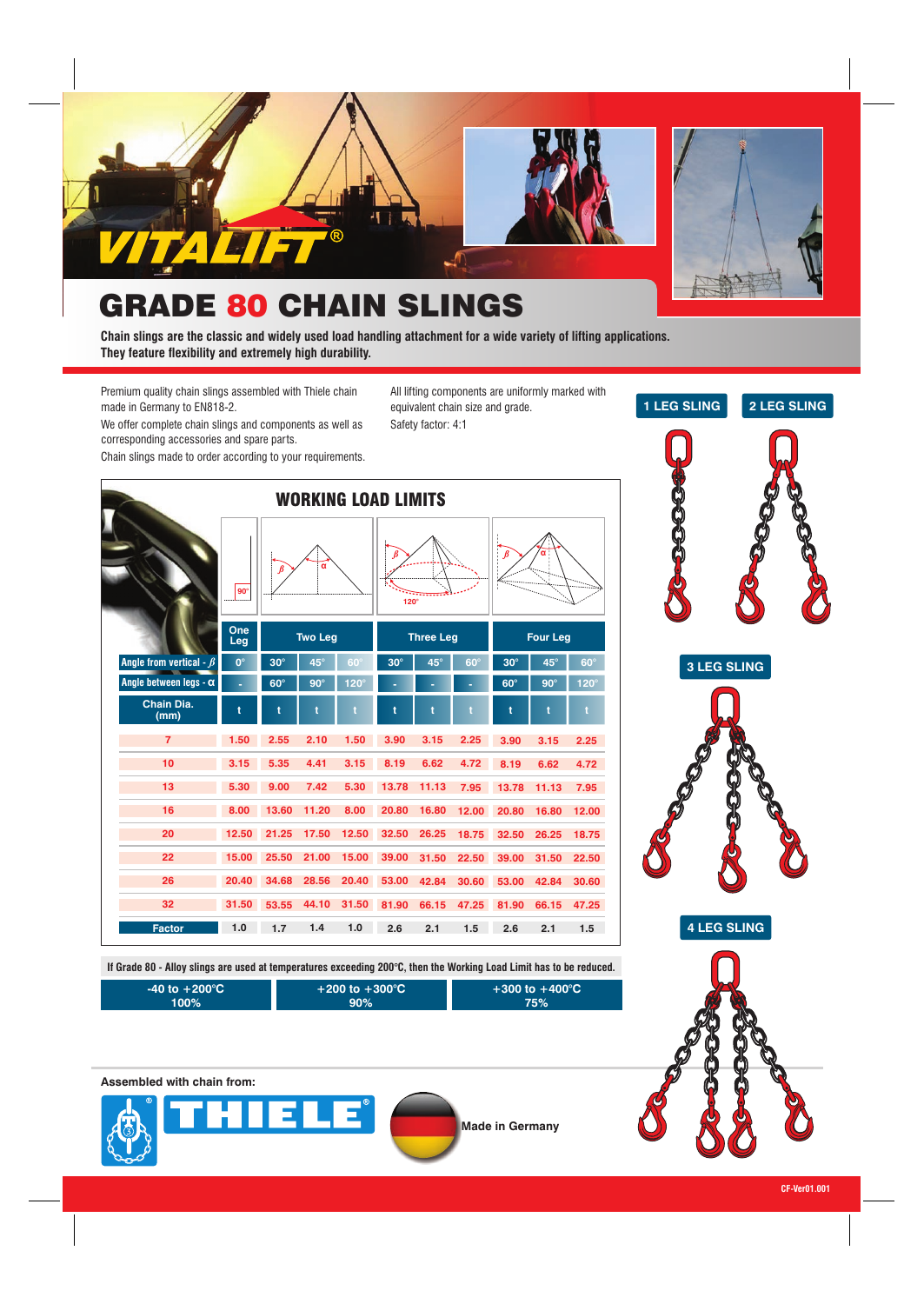

# **GRADE 80 CHAIN SLINGS**

**Chain slings are the classic and widely used load handling attachment for a wide variety of lifting applications. They feature flexibility and extremely high durability.**

Premium quality chain slings assembled with Thiele chain made in Germany to EN818-2.

All lifting components are uniformly marked with equivalent chain size and grade. Safety factor: 4:1

We offer complete chain slings and components as well as corresponding accessories and spare parts.

Chain slings made to order according to your requirements.



**If Grade 80 - Alloy slings are used at temperatures exceeding 200°C, then the Working Load Limit has to be reduced.**

| $\blacksquare$ -40 to $+200^\circ \text{C}$ $\blacktriangledown$ | $+200$ to $+300^{\circ}$ C | $+300$ to $+400^{\circ}$ C |
|------------------------------------------------------------------|----------------------------|----------------------------|
| 100%'                                                            | $.90\%$                    | 75%                        |

**Assembled with chain from:**











**4 LEG SLING**